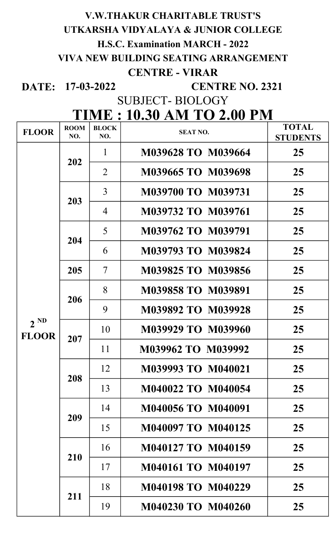#### V.W.THAKUR CHARITABLE TRUST'S

### UTKARSHA VIDYALAYA & JUNIOR COLLEGE

H.S.C. Examination MARCH - 2022

VIVA NEW BUILDING SEATING ARRANGEMENT

## CENTRE - VIRAR

DATE: 17-03-2022

CENTRE NO. 2321

SUBJECT- BIOLOGY

# TIME : 10.30 AM TO 2.00 PM

| <b>FLOOR</b>             | <b>ROOM</b><br>NO. | <b>BLOCK</b><br>NO. | <b>SEAT NO.</b>           | <b>TOTAL</b><br><b>STUDENTS</b> |
|--------------------------|--------------------|---------------------|---------------------------|---------------------------------|
| $2^{ND}$<br><b>FLOOR</b> | 202                | 1                   | M039628 TO M039664        | 25                              |
|                          |                    | $\overline{2}$      | <b>M039665 TO M039698</b> | 25                              |
|                          | 203                | $\overline{3}$      | <b>M039700 TO M039731</b> | 25                              |
|                          |                    | $\overline{4}$      | M039732 TO M039761        | 25                              |
|                          | 204                | 5                   | M039762 TO M039791        | 25                              |
|                          |                    | 6                   | M039793 TO M039824        | 25                              |
|                          | 205                | $\tau$              | M039825 TO M039856        | 25                              |
|                          | 206                | 8                   | <b>M039858 TO M039891</b> | 25                              |
|                          |                    | 9                   | M039892 TO M039928        | 25                              |
|                          | 207                | 10                  | <b>M039929 TO M039960</b> | 25                              |
|                          |                    | 11                  | M039962 TO M039992        | 25                              |
|                          | 208                | 12                  | M039993 TO M040021        | 25                              |
|                          |                    | 13                  | M040022 TO M040054        | 25                              |
|                          | 209                | 14                  | <b>M040056 TO M040091</b> | 25                              |
|                          |                    | 15                  | <b>M040097 TO M040125</b> | 25                              |
|                          | 210                | 16                  | <b>M040127 TO M040159</b> | 25                              |
|                          |                    | 17                  | <b>M040161 TO M040197</b> | 25                              |
|                          | 211                | 18                  | <b>M040198 TO M040229</b> | 25                              |
|                          |                    | 19                  | <b>M040230 TO M040260</b> | 25                              |